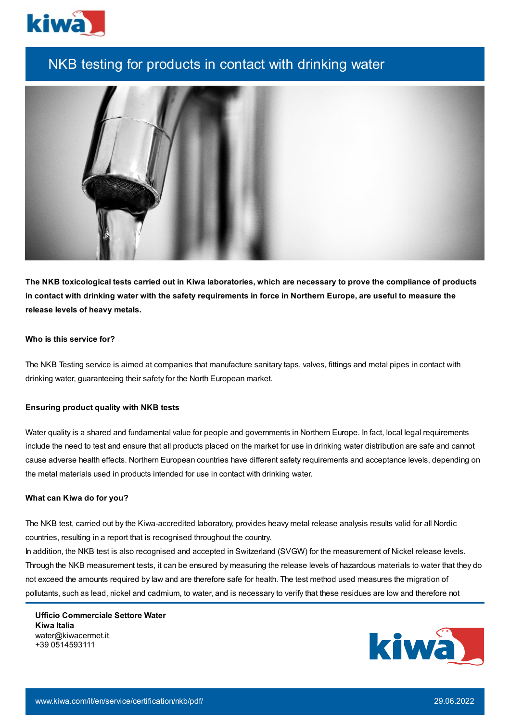

# NKB testing for products in contact with drinking water



The NKB toxicological tests carried out in Kiwa laboratories, which are necessary to prove the compliance of products in contact with drinking water with the safety requirements in force in Northern Europe, are useful to measure the **release levels of heavy metals.**

### **Who is this service for?**

The NKB Testing service is aimed at companies that manufacture sanitary taps, valves, fittings and metal pipes in contact with drinking water, guaranteeing their safety for the North European market.

# **Ensuring product quality with NKB tests**

Water quality is a shared and fundamental value for people and governments in Northern Europe. In fact, local legal requirements include the need to test and ensure that all products placed on the market for use in drinking water distribution are safe and cannot cause adverse health effects. Northern European countries have different safety requirements and acceptance levels, depending on the metal materials used in products intended for use in contact with drinking water.

#### **What can Kiwa do for you?**

The NKB test, carried out by the Kiwa-accredited laboratory, provides heavy metal release analysis results valid for all Nordic countries, resulting in a report that is recognised throughout the country.

In addition, the NKB test is also recognised and accepted in Switzerland (SVGW) for the measurement of Nickel release levels. Through the NKB measurement tests, it can be ensured by measuring the release levels of hazardous materials to water that they do not exceed the amounts required by law and are therefore safe for health. The test method used measures the migration of pollutants, such as lead, nickel and cadmium, to water, and is necessary to verify that these residues are low and therefore not

**Ufficio Commerciale Settore Water Kiwa Italia** water@kiwacermet.it +39 0514593111